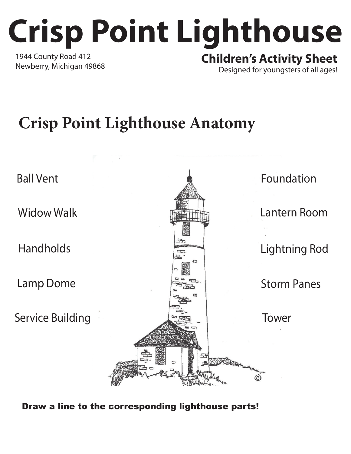## **Crisp Point Lighthouse** 1944 County Road 412 Newberry, Michigan 49868 **Children's Activity Sheet**

Designed for youngsters of all ages!

## **Crisp Point Lighthouse Anatomy**



Draw a line to the corresponding lighthouse parts!